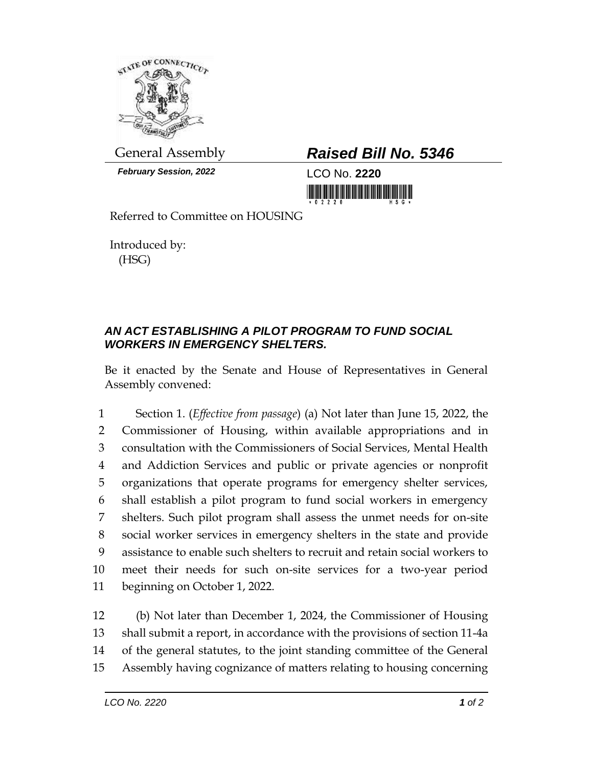

*February Session, 2022* LCO No. **2220**

## General Assembly *Raised Bill No. 5346*

<u> III di kacamatan ing Kabupatèn Ing Kabupatèn Ing Kabupatèn Ing Kabupatèn Ing Kabupatèn Ing Kabupatèn Ing Kabupatèn Ing Kabupatèn Ing Kabupatèn Ing Kabupatèn Ing Kabupatèn Ing Kabupatèn Ing Kabupatèn Ing Kabupatèn Ing Kab</u>

Referred to Committee on HOUSING

Introduced by: (HSG)

## *AN ACT ESTABLISHING A PILOT PROGRAM TO FUND SOCIAL WORKERS IN EMERGENCY SHELTERS.*

Be it enacted by the Senate and House of Representatives in General Assembly convened:

 Section 1. (*Effective from passage*) (a) Not later than June 15, 2022, the Commissioner of Housing, within available appropriations and in consultation with the Commissioners of Social Services, Mental Health and Addiction Services and public or private agencies or nonprofit organizations that operate programs for emergency shelter services, shall establish a pilot program to fund social workers in emergency shelters. Such pilot program shall assess the unmet needs for on-site social worker services in emergency shelters in the state and provide assistance to enable such shelters to recruit and retain social workers to meet their needs for such on-site services for a two-year period beginning on October 1, 2022.

 (b) Not later than December 1, 2024, the Commissioner of Housing shall submit a report, in accordance with the provisions of section 11-4a of the general statutes, to the joint standing committee of the General Assembly having cognizance of matters relating to housing concerning